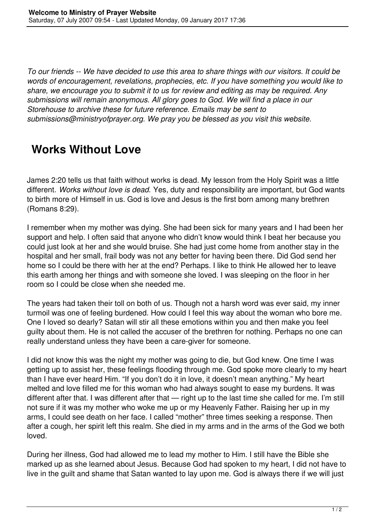*To our friends -- We have decided to use this area to share things with our visitors. It could be words of encouragement, revelations, prophecies, etc. If you have something you would like to share, we encourage you to submit it to us for review and editing as may be required. Any submissions will remain anonymous. All glory goes to God. We will find a place in our Storehouse to archive these for future reference. Emails may be sent to submissions@ministryofprayer.org. We pray you be blessed as you visit this website.*

## **Works Without Love**

James 2:20 tells us that faith without works is dead. My lesson from the Holy Spirit was a little different. *Works without love is dead.* Yes, duty and responsibility are important, but God wants to birth more of Himself in us. God is love and Jesus is the first born among many brethren (Romans 8:29).

I remember when my mother was dying. She had been sick for many years and I had been her support and help. I often said that anyone who didn't know would think I beat her because you could just look at her and she would bruise. She had just come home from another stay in the hospital and her small, frail body was not any better for having been there. Did God send her home so I could be there with her at the end? Perhaps. I like to think He allowed her to leave this earth among her things and with someone she loved. I was sleeping on the floor in her room so I could be close when she needed me.

The years had taken their toll on both of us. Though not a harsh word was ever said, my inner turmoil was one of feeling burdened. How could I feel this way about the woman who bore me. One I loved so dearly? Satan will stir all these emotions within you and then make you feel guilty about them. He is not called the accuser of the brethren for nothing. Perhaps no one can really understand unless they have been a care-giver for someone.

I did not know this was the night my mother was going to die, but God knew. One time I was getting up to assist her, these feelings flooding through me. God spoke more clearly to my heart than I have ever heard Him. "If you don't do it in love, it doesn't mean anything." My heart melted and love filled me for this woman who had always sought to ease my burdens. It was different after that. I was different after that — right up to the last time she called for me. I'm still not sure if it was my mother who woke me up or my Heavenly Father. Raising her up in my arms, I could see death on her face. I called "mother" three times seeking a response. Then after a cough, her spirit left this realm. She died in my arms and in the arms of the God we both loved.

During her illness, God had allowed me to lead my mother to Him. I still have the Bible she marked up as she learned about Jesus. Because God had spoken to my heart, I did not have to live in the guilt and shame that Satan wanted to lay upon me. God is always there if we will just